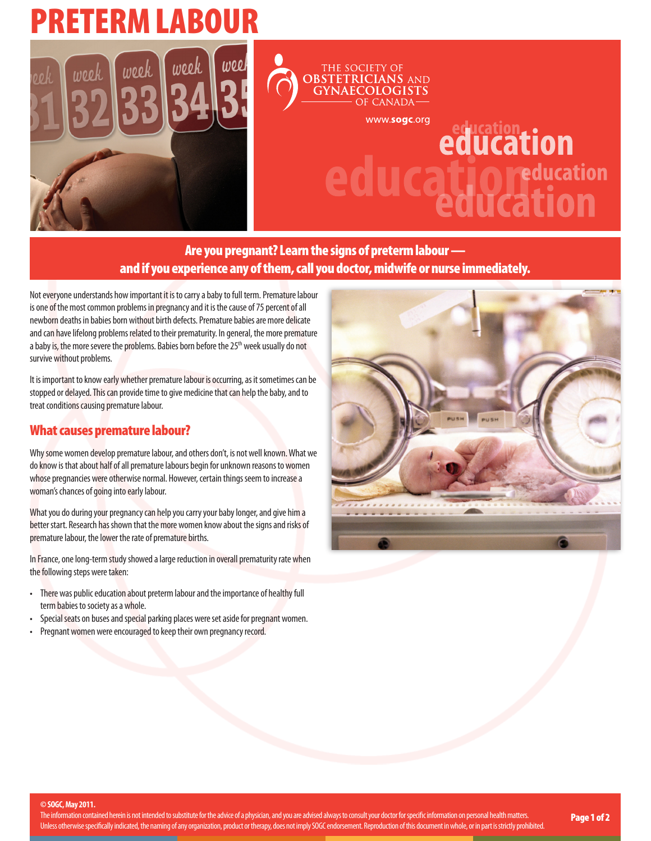# PRETERM LABOUR



### THE SOCIETY OF **OBSTETRICIANS AND GYNAECOLOGISTS**

www.sogc.org

# education<br>**ducation UCation**

## Are you pregnant? Learn the signs of preterm labour and if you experience any of them, call you doctor, midwife or nurse immediately.

Not everyone understands how important it is to carry a baby to full term. Premature labour is one of the most common problems in pregnancy and it is the cause of 75 percent of all newborn deaths in babies born without birth defects. Premature babies are more delicate and can have lifelong problems related to their prematurity. In general, the more premature a baby is, the more severe the problems. Babies born before the 25<sup>th</sup> week usually do not survive without problems.

It is important to know early whether premature labour is occurring, as it sometimes can be stopped or delayed. This can provide time to give medicine that can help the baby, and to treat conditions causing premature labour.

#### What causes premature labour?

Why some women develop premature labour, and others don't, is not well known. What we do know is that about half of all premature labours begin for unknown reasons to women whose pregnancies were otherwise normal. However, certain things seem to increase a woman's chances of going into early labour.

What you do during your pregnancy can help you carry your baby longer, and give him a better start. Research has shown that the more women know about the signs and risks of premature labour, the lower the rate of premature births.

In France, one long-term study showed a large reduction in overall prematurity rate when the following steps were taken:

- There was public education about preterm labour and the importance of healthy full term babies to society as a whole.
- Special seats on buses and special parking places were set aside for pregnant women.
- Pregnant women were encouraged to keep their own pregnancy record.



#### **© SOGC, May 2011.**

The information contained herein is not intended to substitute for the advice of a physician, and you are advised always to consult your doctor for specific information on personal health matters. The information contained herein is not intended to substitute for the advice of a physician, and you are advised always to consult your doctor for specific information on personal health matters. Nage 1 of 2 Page 1 of 2 D